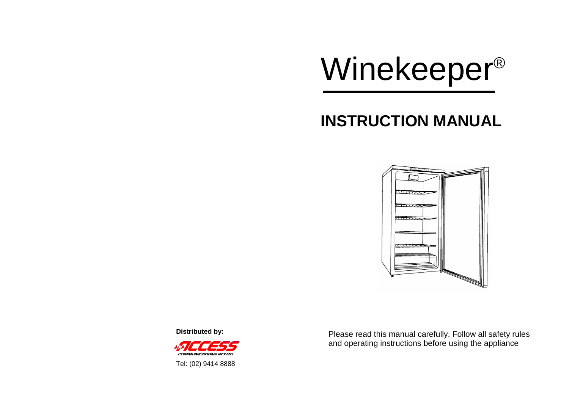

# **INSTRUCTION MANUAL**



**Distributed by:** 



Please read this manual carefully. Follow all safety rules and operating instructions before using the appliance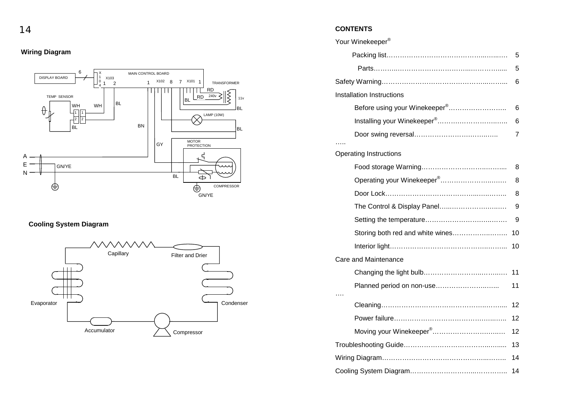**Wiring Diagram** 



### **Cooling System Diagram**



#### 14 **CONTENTS**

| Your Winekeeper <sup>®</sup>              |    |  |
|-------------------------------------------|----|--|
|                                           | 5  |  |
|                                           | 5  |  |
|                                           | 6  |  |
| <b>Installation Instructions</b>          |    |  |
| Before using your Winekeeper <sup>®</sup> | 6  |  |
|                                           | 6  |  |
|                                           | 7  |  |
| <b>Operating Instructions</b>             |    |  |
|                                           | 8  |  |
| Operating your Winekeeper <sup>®</sup>    | 8  |  |
|                                           | 8  |  |
| The Control & Display Panel               | 9  |  |
|                                           | 9  |  |
| Storing both red and white wines          | 10 |  |
|                                           | 10 |  |
| <b>Care and Maintenance</b>               |    |  |
|                                           | 11 |  |
| Planned period on non-use                 | 11 |  |
|                                           | 12 |  |
|                                           | 12 |  |
| Moving your Winekeeper <sup>®</sup>       | 12 |  |
|                                           | 13 |  |
|                                           |    |  |
|                                           |    |  |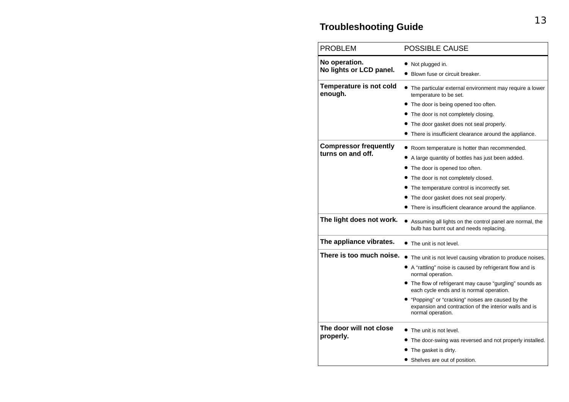## **Troubleshooting Guide**

| <b>PROBLEM</b>                                    | <b>POSSIBLE CAUSE</b>                                                                                                                                                                                                                                                                                                                                                                     |
|---------------------------------------------------|-------------------------------------------------------------------------------------------------------------------------------------------------------------------------------------------------------------------------------------------------------------------------------------------------------------------------------------------------------------------------------------------|
| No operation.<br>No lights or LCD panel.          | • Not plugged in.<br>• Blown fuse or circuit breaker.                                                                                                                                                                                                                                                                                                                                     |
| Temperature is not cold<br>enough.                | • The particular external environment may require a lower<br>temperature to be set.<br>• The door is being opened too often.<br>• The door is not completely closing.<br>• The door gasket does not seal properly.<br>• There is insufficient clearance around the appliance.                                                                                                             |
| <b>Compressor frequently</b><br>turns on and off. | • Room temperature is hotter than recommended.<br>• A large quantity of bottles has just been added.<br>• The door is opened too often.<br>• The door is not completely closed.<br>The temperature control is incorrectly set.<br>• The door gasket does not seal properly.<br>• There is insufficient clearance around the appliance.                                                    |
| The light does not work.                          | • Assuming all lights on the control panel are normal, the<br>bulb has burnt out and needs replacing.                                                                                                                                                                                                                                                                                     |
| The appliance vibrates.                           | • The unit is not level.                                                                                                                                                                                                                                                                                                                                                                  |
| There is too much noise.                          | The unit is not level causing vibration to produce noises.<br>• A "rattling" noise is caused by refrigerant flow and is<br>normal operation.<br>• The flow of refrigerant may cause "gurgling" sounds as<br>each cycle ends and is normal operation.<br>• "Popping" or "cracking" noises are caused by the<br>expansion and contraction of the interior walls and is<br>normal operation. |
| The door will not close<br>properly.              | The unit is not level.<br>The door-swing was reversed and not properly installed.<br>The gasket is dirty.<br>• Shelves are out of position.                                                                                                                                                                                                                                               |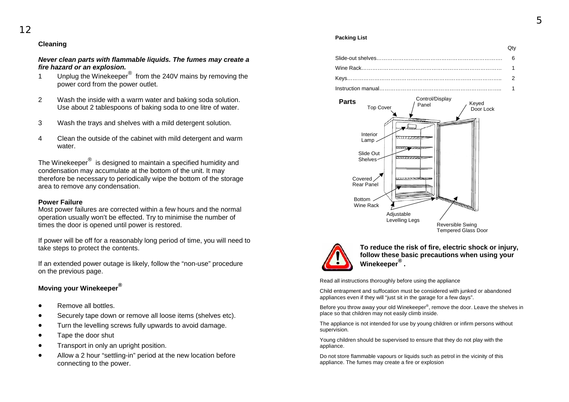#### **Cleaning**

*Never clean parts with flammable liquids. The fumes may create a fire hazard or an explosion.*

- 1 Unplug the Winekeeper® from the 240V mains by removing the power cord from the power outlet.
- 2 Wash the inside with a warm water and baking soda solution. Use about 2 tablespoons of baking soda to one litre of water.
- 3 Wash the trays and shelves with a mild detergent solution.
- 4 Clean the outside of the cabinet with mild detergent and warm water.

The Winekeeper® is designed to maintain a specified humidity and condensation may accumulate at the bottom of the unit. It may therefore be necessary to periodically wipe the bottom of the storage area to remove any condensation.

#### **Power Failure**

Most power failures are corrected within a few hours and the normal operation usually won't be effected. Try to minimise the number of times the door is opened until power is restored.

If power will be off for a reasonably long period of time, you will need to take steps to protect the contents.

If an extended power outage is likely, follow the "non-use" procedure on the previous page.

#### **Moving your Winekeeper®**

- Remove all bottles.
- Securely tape down or remove all loose items (shelves etc).
- Turn the levelling screws fully upwards to avoid damage.
- Tape the door shut
- Transport in only an upright position.
- Allow a 2 hour "settling-in" period at the new location before connecting to the power.

#### **Packing List**

| ww |
|----|
|    |
|    |
|    |
|    |





**To reduce the risk of fire, electric shock or injury, follow these basic precautions when using your Winekeeper® .** 

Read all instructions thoroughly before using the appliance

Child entrapment and suffocation must be considered with junked or abandoned appliances even if they will "just sit in the garage for a few days".

Before you throw away your old Winekeeper<sup>®</sup>, remove the door. Leave the shelves in place so that children may not easily climb inside.

The appliance is not intended for use by young children or infirm persons without supervision.

Young children should be supervised to ensure that they do not play with the appliance.

Do not store flammable vapours or liquids such as petrol in the vicinity of this appliance. The fumes may create a fire or explosion

 $\sim$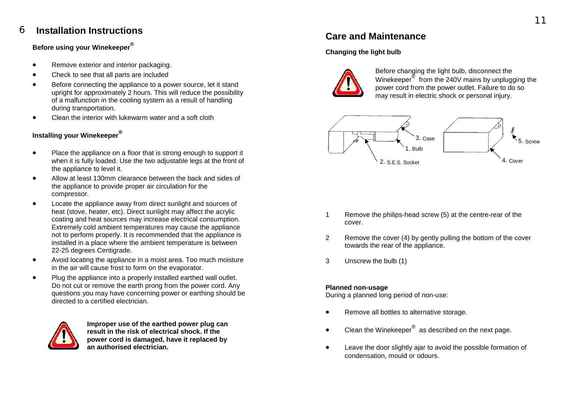#### **Installation Instructions** <sup>6</sup>**Care and Maintenance**

### **Before using your Winekeeper®**

- Remove exterior and interior packaging.
- Check to see that all parts are included
- Before connecting the appliance to a power source, let it stand upright for approximately 2 hours. This will reduce the possibility of a malfunction in the cooling system as a result of handling during transportation.
- Clean the interior with lukewarm water and a soft cloth

### **Installing your Winekeeper®**

- Place the appliance on a floor that is strong enough to support it when it is fully loaded. Use the two adjustable legs at the front of the appliance to level it.
- Allow at least 130mm clearance between the back and sides of the appliance to provide proper air circulation for the compressor.
- Locate the appliance away from direct sunlight and sources of heat (stove, heater, etc). Direct sunlight may affect the acrylic coating and heat sources may increase electrical consumption. Extremely cold ambient temperatures may cause the appliance not to perform properly. It is recommended that the appliance is installed in a place where the ambient temperature is between 22-25 degrees Centigrade.
- Avoid locating the appliance in a moist area. Too much moisture in the air will cause frost to form on the evaporator.
- Plug the appliance into a properly installed earthed wall outlet. Do not cut or remove the earth prong from the power cord. Any questions you may have concerning power or earthing should be directed to a certified electrician.



**Improper use of the earthed power plug can result in the risk of electrical shock. If the power cord is damaged, have it replaced by an authorised electrician.**

#### **Changing the light bulb**



Before changing the light bulb, disconnect the Winekeeper<sup>®</sup> from the 240V mains by unplugging the power cord from the power outlet. Failure to do so may result in electric shock or personal injury.



- 1 Remove the philips-head screw (5) at the centre-rear of the cover.
- 2 Remove the cover (4) by gently pulling the bottom of the cover towards the rear of the appliance.
- 3 Unscrew the bulb (1)

#### **Planned non-usage**

During a planned long period of non-use:

- Remove all bottles to alternative storage.
- Clean the Winekeeper $^{\circledR}$  as described on the next page.
- Leave the door slightly ajar to avoid the possible formation of condensation, mould or odours.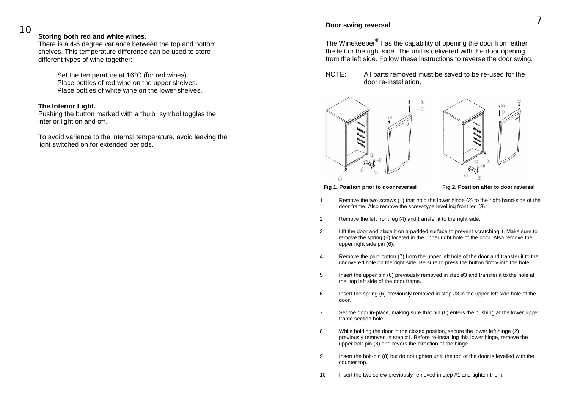#### **Storing both red and white wines.**

There is a 4-5 degree variance between the top and bottom shelves. This temperature difference can be used to store different types of wine together:

> Set the temperature at 16°C (for red wines). Place bottles of red wine on the upper shelves. Place bottles of white wine on the lower shelves.

#### **The Interior Light.**

Pushing the button marked with a "bulb" symbol toggles the interior light on and off.

To avoid variance to the internal temperature, avoid leaving the light switched on for extended periods.

## <sup>10</sup>**Door swing reversal**

The Winekeeper® has the capability of opening the door from either the left or the right side. The unit is delivered with the door opening from the left side. Follow these instructions to reverse the door swing.

NOTE: All parts removed must be saved to be re-used for the door re-installation.





**Fig 1. Position prior to door reversal Fig 2. Position after to door reversal** 

- 1 Remove the two screws (1) that hold the lower hinge (2) to the right-hand-side of the door frame. Also remove the screw-type levelling front leg (3).
- 2 Remove the left front leg (4) and transfer it to the right side.
- 3 Lift the door and place it on a padded surface to prevent scratching it. Make sure to remove the spring (5) located in the upper right hole of the door. Also remove the upper right side pin (6).
- 4 Remove the plug button (7) from the upper left hole of the door and transfer it to the uncovered hole on the right side. Be sure to press the button firmly into the hole.
- 5 Insert the upper pin (6) previously removed in step #3 and transfer it to the hole at the top left side of the door frame.
- 6 Insert the spring (6) previously removed in step #3 in the upper left side hole of the door.
- 7 Set the door in-place, making sure that pin (6) enters the bushing at the lower upper frame section hole.
- 8 While holding the door in the closed position, secure the lower left hinge (2) previously removed in step #1. Before re-installing this lower hinge, remove the upper bolt-pin (8) and revers the direction of the hinge.
- 9 Insert the bolt-pin (8) but do not tighten until the top of the door is levelled with the counter top.
- 10 Insert the two screw previously removed in step #1 and tighten them.